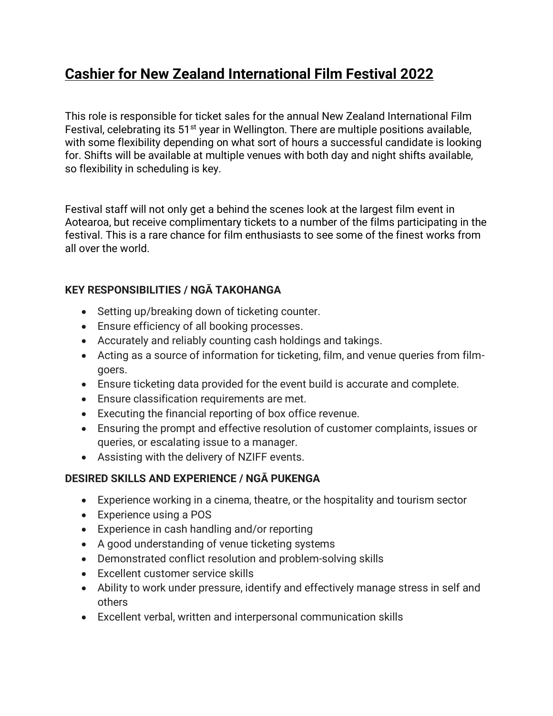# **Cashier for New Zealand International Film Festival 2022**

This role is responsible for ticket sales for the annual New Zealand International Film Festival, celebrating its 51<sup>st</sup> year in Wellington. There are multiple positions available, with some flexibility depending on what sort of hours a successful candidate is looking for. Shifts will be available at multiple venues with both day and night shifts available, so flexibility in scheduling is key.

Festival staff will not only get a behind the scenes look at the largest film event in Aotearoa, but receive complimentary tickets to a number of the films participating in the festival. This is a rare chance for film enthusiasts to see some of the finest works from all over the world.

# **KEY RESPONSIBILITIES / NGĀ TAKOHANGA**

- Setting up/breaking down of ticketing counter.
- Ensure efficiency of all booking processes.
- Accurately and reliably counting cash holdings and takings.
- Acting as a source of information for ticketing, film, and venue queries from filmgoers.
- Ensure ticketing data provided for the event build is accurate and complete.
- Ensure classification requirements are met.
- Executing the financial reporting of box office revenue.
- Ensuring the prompt and effective resolution of customer complaints, issues or queries, or escalating issue to a manager.
- Assisting with the delivery of NZIFF events.

# **DESIRED SKILLS AND EXPERIENCE / NGĀ PUKENGA**

- Experience working in a cinema, theatre, or the hospitality and tourism sector
- Experience using a POS
- Experience in cash handling and/or reporting
- A good understanding of venue ticketing systems
- Demonstrated conflict resolution and problem-solving skills
- Excellent customer service skills
- Ability to work under pressure, identify and effectively manage stress in self and others
- Excellent verbal, written and interpersonal communication skills